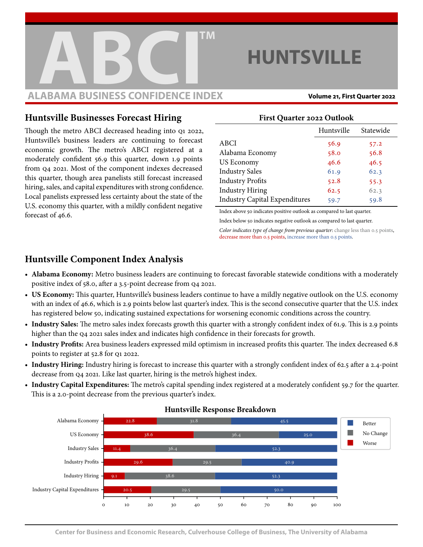

# **HUNTSVILLE**

### **Huntsville Businesses Forecast Hiring**

Though the metro ABCI decreased heading into q1 2022, Huntsville's business leaders are continuing to forecast economic growth. The metro's ABCI registered at a moderately confident 56.9 this quarter, down 1.9 points from q4 2021. Most of the component indexes decreased this quarter, though area panelists still forecast increased hiring, sales, and capital expenditures with strong confidence. Local panelists expressed less certainty about the state of the U.S. economy this quarter, with a mildly confident negative forecast of 46.6.

#### **First Quarter 2022 Outlook**

|                                      | Huntsville | Statewide |
|--------------------------------------|------------|-----------|
| ABCI                                 | 56.9       | 57.2      |
| Alabama Economy                      | 58.0       | 56.8      |
| US Economy                           | 46.6       | 46.5      |
| <b>Industry Sales</b>                | 61.9       | 62.3      |
| <b>Industry Profits</b>              | 52.8       | 55.3      |
| <b>Industry Hiring</b>               | 62.5       | 62.3      |
| <b>Industry Capital Expenditures</b> | 59.7       | 59.8      |

Index above 50 indicates positive outlook as compared to last quarter. Index below 50 indicates negative outlook as compared to last quarter.

Color indicates type of change from previous quarter: change less than 0.5 points, decrease more than 0.5 points, increase more than 0.5 points.

## **Huntsville Component Index Analysis**

- **Alabama Economy:** Metro business leaders are continuing to forecast favorable statewide conditions with a moderately positive index of 58.0, after a 3.5-point decrease from q4 2021.
- **US Economy:** This quarter, Huntsville's business leaders continue to have a mildly negative outlook on the U.S. economy with an index of 46.6, which is 2.9 points below last quarter's index. This is the second consecutive quarter that the U.S. index has registered below 50, indicating sustained expectations for worsening economic conditions across the country.
- **Industry Sales:** The metro sales index forecasts growth this quarter with a strongly confident index of 61.9. This is 2.9 points higher than the Q4 2021 sales index and indicates high confidence in their forecasts for growth.
- **Industry Profits:** Area business leaders expressed mild optimism in increased profits this quarter. The index decreased 6.8 points to register at 52.8 for q1 2022.
- Industry Hiring: Industry hiring is forecast to increase this quarter with a strongly confident index of 62.5 after a 2.4-point decrease from q4 2021. Like last quarter, hiring is the metro's highest index.
- **Industry Capital Expenditures:** The metro's capital spending index registered at a moderately confident 59.7 for the quarter. This is a 2.0-point decrease from the previous quarter's index.



#### **Huntsville Response Breakdown**